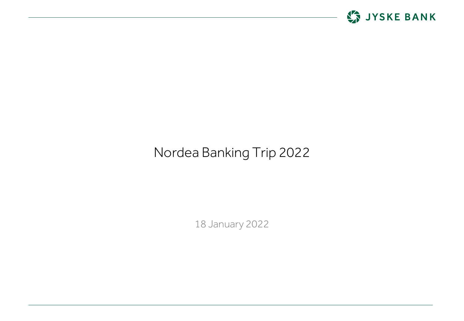

# Nordea Banking Trip 2022

18 January 2022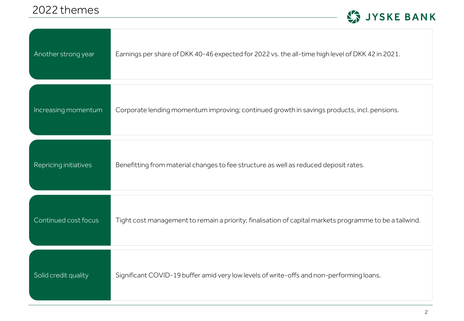

| Another strong year   | Earnings per share of DKK 40-46 expected for 2022 vs. the all-time high level of DKK 42 in 2021.        |
|-----------------------|---------------------------------------------------------------------------------------------------------|
| Increasing momentum   | Corporate lending momentum improving; continued growth in savings products, incl. pensions.             |
| Repricing initiatives | Benefitting from material changes to fee structure as well as reduced deposit rates.                    |
| Continued cost focus  | Tight cost management to remain a priority; finalisation of capital markets programme to be a tailwind. |
| Solid credit quality  | Significant COVID-19 buffer amid very low levels of write-offs and non-performing loans.                |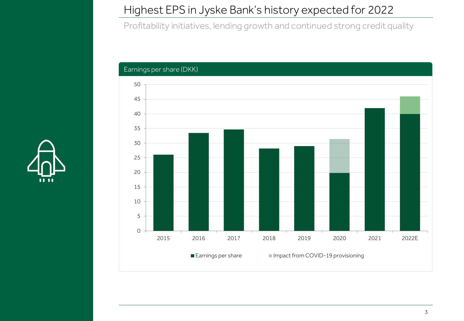## Highest EPS in Jyske Bank's history expected for 2022

Profitability initiatives, lending growth and continued strong credit quality



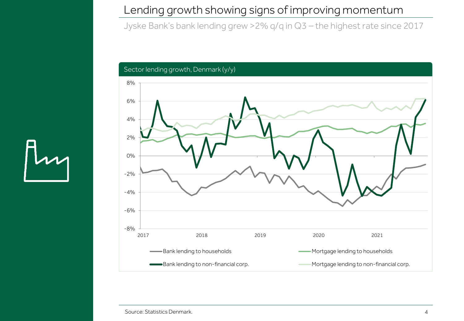#### Lending growth showing signs of improving momentum

Jyske Bank's bank lending grew >2% q/q in Q3 – the highest rate since 2017

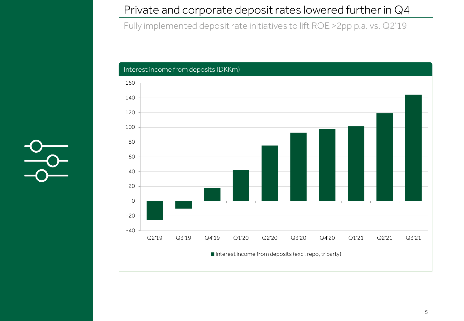#### Private and corporate deposit rates lowered further in Q4

Fully implemented deposit rate initiatives to lift ROE >2pp p.a. vs. Q2'19



 $\frac{1}{2}$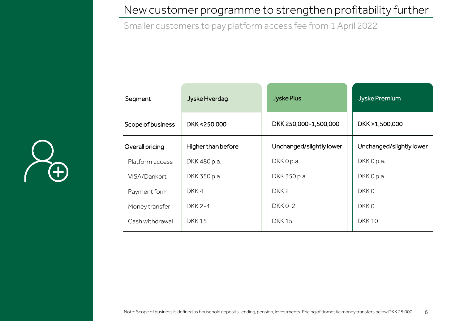#### New customer programme to strengthen profitability further

Smaller customers to pay platform access fee from 1 April 2022



| Segment           | Jyske Hverdag      | <b>Jyske Plus</b>        | Jyske Premium            |
|-------------------|--------------------|--------------------------|--------------------------|
| Scope of business | DKK <250,000       | DKK 250,000-1,500,000    | DKK > 1,500,000          |
| Overall pricing   | Higher than before | Unchanged/slightly lower | Unchanged/slightly lower |
| Platform access   | DKK 480 p.a.       | DKK 0 p.a.               | DKK 0 p.a.               |
| VISA/Dankort      | DKK 350 p.a.       | DKK 350 p.a.             | DKK 0 p.a.               |
| Payment form      | DKK4               | DKK <sub>2</sub>         | DKK 0                    |
| Money transfer    | <b>DKK 2-4</b>     | <b>DKK 0-2</b>           | DKK 0                    |
| Cash withdrawal   | <b>DKK15</b>       | <b>DKK15</b>             | <b>DKK10</b>             |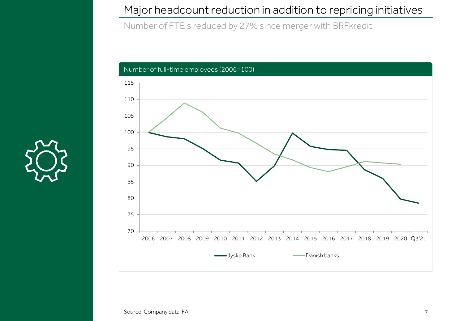#### Major headcount reduction in addition to repricing initiatives

Number of FTE's reduced by 27% since merger with BRFkredit

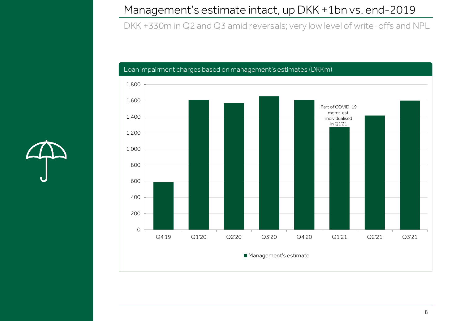## Management's estimate intact, up DKK +1bn vs. end-2019

DKK +330m in Q2 and Q3 amid reversals; very low level of write-offs and NPL